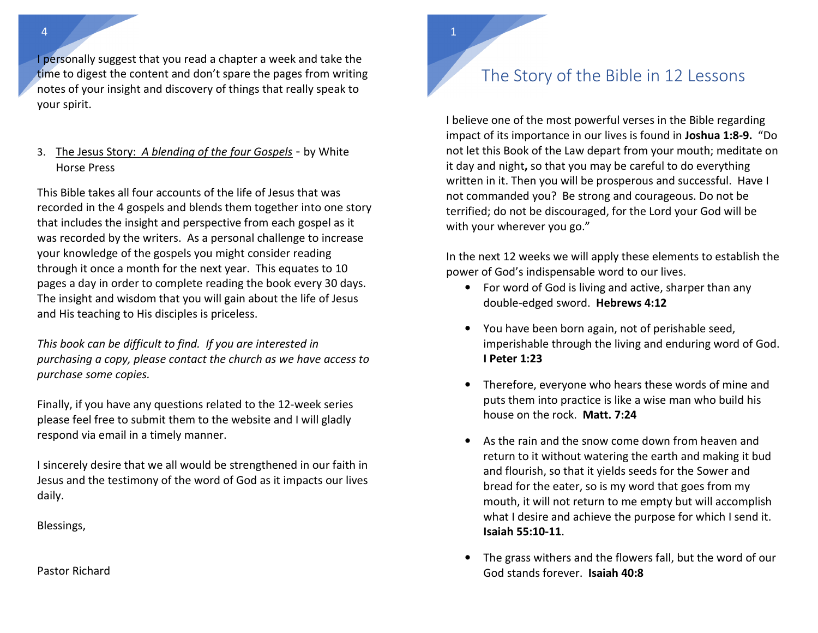I personally suggest that you read a chapter a week and take the time to digest the content and don't spare the pages from writing notes of your insight and discovery of things that really speak to your spirit.

3. The Jesus Story: *A blending of the four Gospels* - by White Horse Press

This Bible takes all four accounts of the life of Jesus that was recorded in the 4 gospels and blends them together into one story that includes the insight and perspective from each gospel as it was recorded by the writers. As a personal challenge to increase your knowledge of the gospels you might consider reading through it once a month for the next year. This equates to 10 pages a day in order to complete reading the book every 30 days. The insight and wisdom that you will gain about the life of Jesus and His teaching to His disciples is priceless.

*This book can be difficult to find. If you are interested in purchasing a copy, please contact the church as we have access to purchase some copies.* 

Finally, if you have any questions related to the 12-week series please feel free to submit them to the website and I will gladly respond via email in a timely manner.

I sincerely desire that we all would be strengthened in our faith in Jesus and the testimony of the word of God as it impacts our lives daily.

Blessings,

Pastor Richard

## The Story of the Bible in 12 Lessons

 $1\,$ 

I believe one of the most powerful verses in the Bible regarding impact of its importance in our lives is found in **Joshua 1:8-9.** "Do not let this Book of the Law depart from your mouth; meditate on it day and night**,** so that you may be careful to do everything written in it. Then you will be prosperous and successful. Have I not commanded you? Be strong and courageous. Do not be terrified; do not be discouraged, for the Lord your God will be with your wherever you go."

In the next 12 weeks we will apply these elements to establish the power of God's indispensable word to our lives.

- For word of God is living and active, sharper than any double-edged sword. **Hebrews 4:12**
- You have been born again, not of perishable seed, imperishable through the living and enduring word of God. **I Peter 1:23**
- Therefore, everyone who hears these words of mine and puts them into practice is like a wise man who build his house on the rock. **Matt. 7:24**
- • As the rain and the snow come down from heaven and return to it without watering the earth and making it bud and flourish, so that it yields seeds for the Sower and bread for the eater, so is my word that goes from my mouth, it will not return to me empty but will accomplish what I desire and achieve the purpose for which I send it. **Isaiah 55:10-11**.
- • The grass withers and the flowers fall, but the word of our God stands forever. **Isaiah 40:8**

4